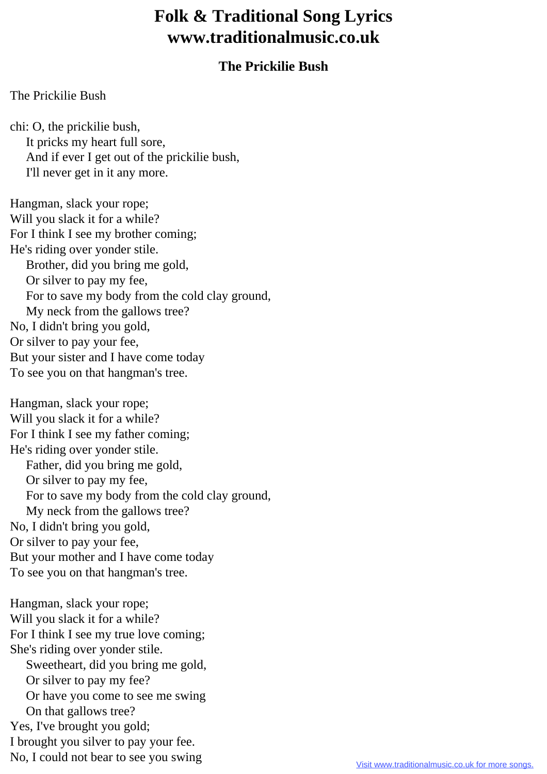## **Folk & Traditional Song Lyrics www.traditionalmusic.co.uk**

## **The Prickilie Bush**

## The Prickilie Bush

chi: O, the prickilie bush, It pricks my heart full sore, And if ever I get out of the prickilie bush, I'll never get in it any more.

Hangman, slack your rope; Will you slack it for a while? For I think I see my brother coming; He's riding over yonder stile. Brother, did you bring me gold, Or silver to pay my fee, For to save my body from the cold clay ground, My neck from the gallows tree? No, I didn't bring you gold, Or silver to pay your fee, But your sister and I have come today To see you on that hangman's tree.

Hangman, slack your rope; Will you slack it for a while? For I think I see my father coming; He's riding over yonder stile. Father, did you bring me gold, Or silver to pay my fee, For to save my body from the cold clay ground, My neck from the gallows tree? No, I didn't bring you gold, Or silver to pay your fee, But your mother and I have come today To see you on that hangman's tree.

Hangman, slack your rope; Will you slack it for a while? For I think I see my true love coming; She's riding over yonder stile. Sweetheart, did you bring me gold, Or silver to pay my fee? Or have you come to see me swing On that gallows tree? Yes, I've brought you gold; I brought you silver to pay your fee. No, I could not bear to see you swing